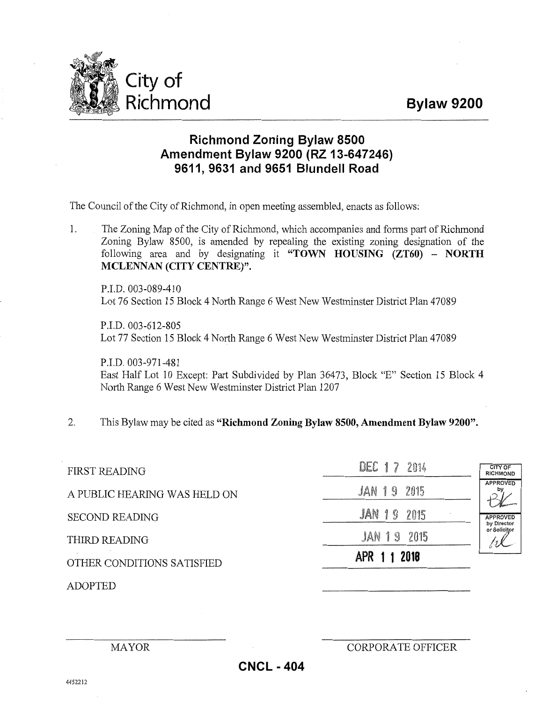## **Bylaw 9200**



## **Richmond Zoning Bylaw 8500 Amendment Bylaw 9200 (RZ 13-647246) 9611, 9631 and 9651 Blundell Road**

The Council of the City of Richmond, in open meeting assembled, enacts as follows:

1. The Zoning Map of the City of Richmond, which accompanies and forms part of Richmond Zoning Bylaw 8500, is amended by repealing the existing zoning designation of the following area and by designating it **"TOWN HOUSING {ZT60) - NORTH MCLENNAN (CITY CENTRE)".** 

P.I.D. 003-089-410 Lot 76 Section 15 Block 4 North Range 6 West New Westminster District Plan 47089

P.I.D. 003-612-805 Lot 77 Section 15 Block 4 North Range 6 West New Westminster District Plan 47089

P.I.D. 003-971-481 East Half Lot 10 Except: Part Subdivided by Plan 36473, Block "E" Section 15 Block 4 North Range 6 West New Westminster District Plan 1207

2. This Bylaw may be cited as **"Richmond Zoning Bylaw 8500, Amendment Bylaw 9200".** 

| <b>FIRST READING</b>         | DEC 17 2014        | CITY OF<br><b>RICHMOND</b>     |
|------------------------------|--------------------|--------------------------------|
| A PUBLIC HEARING WAS HELD ON | JAN 19 2015        | <b>APPROVED</b>                |
| <b>SECOND READING</b>        | <b>JAN 19 2015</b> | <b>APPROVED</b><br>by Director |
| THIRD READING                | <b>JAN 19 2015</b> | or Solicitor                   |
| OTHER CONDITIONS SATISFIED   | APR 1 1 2018       |                                |
| ADOPTED                      |                    |                                |

MAYOR CORPORATE OFFICER

**CNCL - 404**